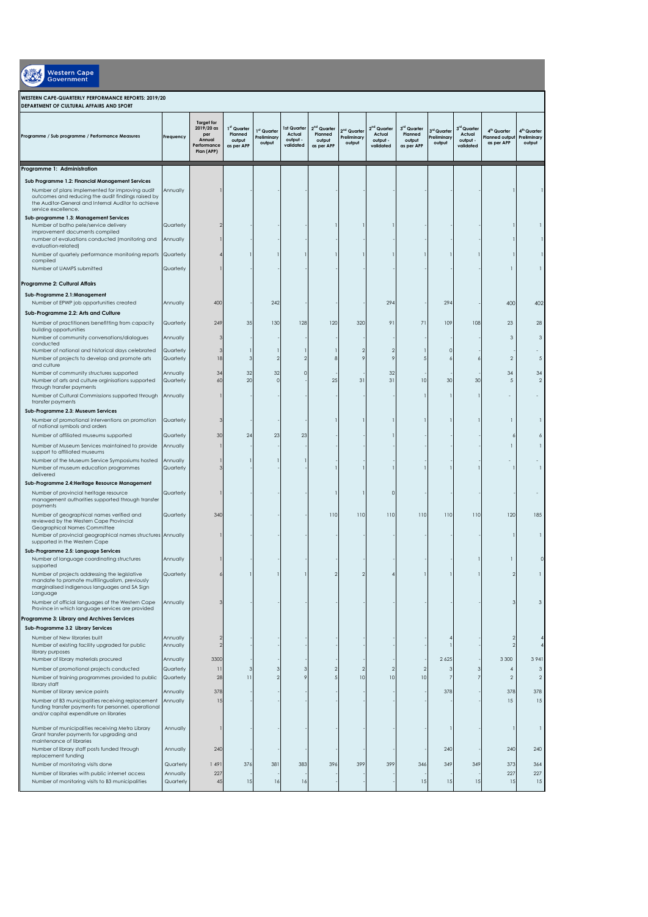| <b>Western Cape</b><br><b>Government</b>                                                                                                                                                                                                |                        |                                                                               |                                                |                                      |                                                |                                                            |                                                  |                                                            |                                                |                                                  |                                                |                                                       |                                                  |
|-----------------------------------------------------------------------------------------------------------------------------------------------------------------------------------------------------------------------------------------|------------------------|-------------------------------------------------------------------------------|------------------------------------------------|--------------------------------------|------------------------------------------------|------------------------------------------------------------|--------------------------------------------------|------------------------------------------------------------|------------------------------------------------|--------------------------------------------------|------------------------------------------------|-------------------------------------------------------|--------------------------------------------------|
| WESTERN CAPE-QUARTERLY PERFORMANCE REPORTS: 2019/20<br>DEPARTMENT OF CULTURAL AFFAIRS AND SPORT                                                                                                                                         |                        |                                                                               |                                                |                                      |                                                |                                                            |                                                  |                                                            |                                                |                                                  |                                                |                                                       |                                                  |
| Programme / Sub programme / Performance Measures                                                                                                                                                                                        | Frequency              | <b>Target for</b><br>2019/20 as<br>per<br>Annual<br>Performance<br>Plan (APP) | 1st Quarter<br>Planned<br>output<br>as per APP | 1st Quarter<br>Preliminary<br>output | Ist Quarter<br>Actual<br>output -<br>validated | 2 <sup>nd</sup> Quarter<br>Planned<br>output<br>as per APP | 2 <sup>nd</sup> Quarter<br>Preliminary<br>output | 2 <sup>nd</sup> Quarter<br>Actual<br>output -<br>validated | 3rd Quarter<br>Planned<br>output<br>as per APP | 3 <sup>rd</sup> Quarter<br>Preliminary<br>output | 3rd Quarter<br>Actual<br>output -<br>validated | 4 <sup>th</sup> Quarter<br>lanned outpu<br>as per APP | 4 <sup>th</sup> Quarter<br>Preliminary<br>output |
| Programme 1: Administration                                                                                                                                                                                                             |                        |                                                                               |                                                |                                      |                                                |                                                            |                                                  |                                                            |                                                |                                                  |                                                |                                                       |                                                  |
| Sub Programme 1.2: Financial Management Services<br>Number of plans implemented for improving audit<br>outcomes and reducing the audit findings raised by<br>the Auditor-General and Internal Auditor to achieve<br>service excellence. | Annually               |                                                                               |                                                |                                      |                                                |                                                            |                                                  |                                                            |                                                |                                                  |                                                |                                                       |                                                  |
| Sub-programme 1.3: Management Services                                                                                                                                                                                                  |                        |                                                                               |                                                |                                      |                                                |                                                            |                                                  |                                                            |                                                |                                                  |                                                |                                                       |                                                  |
| Number of batho pele/service delivery<br>improvement documents compiled                                                                                                                                                                 | Quarterly              |                                                                               |                                                |                                      |                                                |                                                            |                                                  |                                                            |                                                |                                                  |                                                |                                                       |                                                  |
| number of evaluations conducted (monitoring and<br>evaluation-related)                                                                                                                                                                  | Annually               |                                                                               |                                                |                                      |                                                |                                                            |                                                  |                                                            |                                                |                                                  |                                                |                                                       |                                                  |
| Number of quartely performance monitoring reports Quarterly                                                                                                                                                                             |                        |                                                                               |                                                |                                      |                                                |                                                            |                                                  |                                                            |                                                |                                                  |                                                |                                                       |                                                  |
| compiled<br>Number of UAMPS submitted                                                                                                                                                                                                   | Quarterly              |                                                                               |                                                |                                      |                                                |                                                            |                                                  |                                                            |                                                |                                                  |                                                |                                                       |                                                  |
|                                                                                                                                                                                                                                         |                        |                                                                               |                                                |                                      |                                                |                                                            |                                                  |                                                            |                                                |                                                  |                                                |                                                       |                                                  |
| Programme 2: Cultural Affairs                                                                                                                                                                                                           |                        |                                                                               |                                                |                                      |                                                |                                                            |                                                  |                                                            |                                                |                                                  |                                                |                                                       |                                                  |
| Sub-Programme 2.1:Management<br>Number of EPWP job opportunities created                                                                                                                                                                | Annually               | 400                                                                           |                                                | 242                                  |                                                |                                                            |                                                  | 294                                                        |                                                | 294                                              |                                                | 400                                                   | 402                                              |
| Sub-Programme 2.2: Arts and Culture                                                                                                                                                                                                     |                        |                                                                               |                                                |                                      |                                                |                                                            |                                                  |                                                            |                                                |                                                  |                                                |                                                       |                                                  |
| Number of practitioners benefitting from capacity<br>building opportunities<br>Number of community conversations/dialogues                                                                                                              | Quarterly<br>Annually  | 249<br>з                                                                      | 35                                             | 130                                  | 128                                            | 120                                                        | 320                                              | 91                                                         | 71                                             | 109                                              | 108                                            | 23<br>3                                               | 28<br>3                                          |
| conducted<br>Number of national and historical days celebrated                                                                                                                                                                          | Quarterly              | з                                                                             |                                                |                                      |                                                |                                                            |                                                  |                                                            |                                                |                                                  |                                                |                                                       |                                                  |
| Number of projects to develop and promote arts                                                                                                                                                                                          | Quarterly              | 18                                                                            | 3                                              |                                      |                                                |                                                            |                                                  |                                                            |                                                |                                                  |                                                | $\overline{2}$                                        | .5                                               |
| and culture<br>Number of community structures supported                                                                                                                                                                                 | Annually               | 34                                                                            | 32                                             | 32                                   |                                                |                                                            |                                                  | 32                                                         |                                                |                                                  |                                                | 34                                                    | 34                                               |
| Number of arts and culture orginisations supported<br>through transfer payments                                                                                                                                                         | Quarterly              | 60                                                                            | 20                                             | $\circ$                              |                                                | 25                                                         | 31                                               | 31                                                         | 10                                             | 30                                               | 30                                             | 5                                                     | $\overline{2}$                                   |
| Number of Cultural Commissions supported through<br>transfer payments                                                                                                                                                                   | Annually               |                                                                               |                                                |                                      |                                                |                                                            |                                                  |                                                            |                                                |                                                  |                                                |                                                       |                                                  |
| Sub-Programme 2.3: Museum Services                                                                                                                                                                                                      |                        |                                                                               |                                                |                                      |                                                |                                                            |                                                  |                                                            |                                                |                                                  |                                                |                                                       |                                                  |
| Number of promotional interventions on promotion<br>of national symbols and orders                                                                                                                                                      | Quarterly              | е                                                                             |                                                |                                      |                                                |                                                            |                                                  |                                                            |                                                |                                                  |                                                |                                                       | 1                                                |
| Number of affiliated museums supported                                                                                                                                                                                                  | Quarterly              | 30                                                                            | 24                                             | 23                                   | 23                                             |                                                            |                                                  |                                                            |                                                |                                                  |                                                | 6                                                     | 6                                                |
| Number of Museum Services maintained to provide<br>support to affiliated museums<br>Number of the Museum Service Symposiums hosted                                                                                                      | Annually<br>Annually   |                                                                               |                                                |                                      |                                                |                                                            |                                                  |                                                            |                                                |                                                  |                                                |                                                       |                                                  |
| Number of museum education programmes<br>delivered                                                                                                                                                                                      | Quarterly              | з                                                                             |                                                |                                      |                                                |                                                            |                                                  |                                                            |                                                |                                                  |                                                |                                                       | п                                                |
| Sub-Programme 2.4: Heritage Resource Management                                                                                                                                                                                         |                        |                                                                               |                                                |                                      |                                                |                                                            |                                                  |                                                            |                                                |                                                  |                                                |                                                       |                                                  |
| Number of provincial heritage resource<br>management authorities supported through transfer<br>payments                                                                                                                                 | Quarterly              |                                                                               |                                                |                                      |                                                |                                                            |                                                  |                                                            |                                                |                                                  |                                                |                                                       |                                                  |
| Number of geographical names verified and<br>reviewed by the Western Cape Provincial<br>Geographical Names Committee                                                                                                                    | Quarterly              | 340                                                                           |                                                |                                      |                                                | 110                                                        | 110                                              | 110                                                        | 110                                            | 110                                              | 110                                            | 120                                                   | 185                                              |
| Number of provincial geographical names structures Annually<br>supported in the Western Cape                                                                                                                                            |                        |                                                                               |                                                |                                      |                                                |                                                            |                                                  |                                                            |                                                |                                                  |                                                |                                                       |                                                  |
| Sub-Programme 2.5: Language Services<br>Number of language coordinating structures<br>supported                                                                                                                                         | Annually               |                                                                               |                                                |                                      |                                                |                                                            |                                                  |                                                            |                                                |                                                  |                                                |                                                       |                                                  |
| Number of projects addressing the legislative<br>mandate to promote multilingualism, previously                                                                                                                                         | Quarterly              |                                                                               |                                                |                                      |                                                | 2                                                          |                                                  |                                                            |                                                |                                                  |                                                | $\overline{2}$                                        |                                                  |
| marginalised indigenous languages and SA Sign<br>Language<br>Number of official languages of the Western Cape                                                                                                                           | Annually               | 3                                                                             |                                                |                                      |                                                |                                                            |                                                  |                                                            |                                                |                                                  |                                                | 3                                                     | 3                                                |
| Province in which language services are provided                                                                                                                                                                                        |                        |                                                                               |                                                |                                      |                                                |                                                            |                                                  |                                                            |                                                |                                                  |                                                |                                                       |                                                  |
| Programme 3: Library and Archives Services                                                                                                                                                                                              |                        |                                                                               |                                                |                                      |                                                |                                                            |                                                  |                                                            |                                                |                                                  |                                                |                                                       |                                                  |
| Sub-Programme 3.2 Library Services<br>Number of New libraries built                                                                                                                                                                     | Annually               | 2                                                                             |                                                |                                      |                                                |                                                            |                                                  |                                                            |                                                |                                                  |                                                | $\overline{2}$                                        |                                                  |
| Number of existing facility upgraded for public<br>library purposes                                                                                                                                                                     | Annually               | $\overline{2}$                                                                |                                                |                                      |                                                |                                                            |                                                  |                                                            |                                                |                                                  |                                                | $\sqrt{2}$                                            |                                                  |
| Number of library materials procured                                                                                                                                                                                                    | Annually               | 3300                                                                          |                                                |                                      |                                                |                                                            |                                                  |                                                            |                                                | 2 6 2 5                                          |                                                | 3 3 0 0                                               | 3941                                             |
| Number of promotional projects conducted<br>Number of training programmes provided to public                                                                                                                                            | Quarterly<br>Quarterly | $\overline{\mathbf{1}}$<br>28                                                 | 3<br>$\overline{11}$                           | 3<br>$\mathcal{P}$                   | Э                                              |                                                            | 10                                               | 10                                                         | 10                                             | 7                                                | 3<br>7                                         | 4<br>$\overline{2}$                                   | 3<br>$\overline{2}$                              |
| library staff                                                                                                                                                                                                                           |                        |                                                                               |                                                |                                      |                                                |                                                            |                                                  |                                                            |                                                |                                                  |                                                |                                                       |                                                  |
| Number of library service points<br>Number of B3 municipalities receiving replacement                                                                                                                                                   | Annually<br>Annually   | 378<br>15                                                                     |                                                |                                      |                                                |                                                            |                                                  |                                                            |                                                | 378                                              |                                                | 378<br>15                                             | 378<br>15                                        |
| funding transfer payments for personnel, operational<br>and/or capital expenditure on libraries                                                                                                                                         |                        |                                                                               |                                                |                                      |                                                |                                                            |                                                  |                                                            |                                                |                                                  |                                                |                                                       |                                                  |
| Number of municipalities receiving Metro Library<br>Grant transfer payments for upgrading and                                                                                                                                           | Annually               |                                                                               |                                                |                                      |                                                |                                                            |                                                  |                                                            |                                                |                                                  |                                                |                                                       | $\overline{1}$                                   |
| maintenance of libraries<br>Number of library staff posts funded through<br>replacement funding                                                                                                                                         | Annually               | 240                                                                           |                                                |                                      |                                                |                                                            |                                                  |                                                            |                                                | 240                                              |                                                | 240                                                   | 240                                              |
| Number of monitoring visits done                                                                                                                                                                                                        | Quarterly              | 1491                                                                          | 376                                            | 381                                  | 383                                            | 396                                                        | 399                                              | 399                                                        | 346                                            | 349                                              | 349                                            | 373                                                   | 364                                              |
| Number of libraries with public internet access                                                                                                                                                                                         | Annually               | 227                                                                           |                                                |                                      |                                                |                                                            |                                                  |                                                            |                                                |                                                  |                                                | 227                                                   | 227                                              |
| Number of monitoring visits to B3 municipalities                                                                                                                                                                                        | Quarterly              | 45                                                                            | 15                                             | 16                                   | 16                                             |                                                            |                                                  |                                                            | 15                                             | 15                                               | 15                                             | 15                                                    | 15                                               |